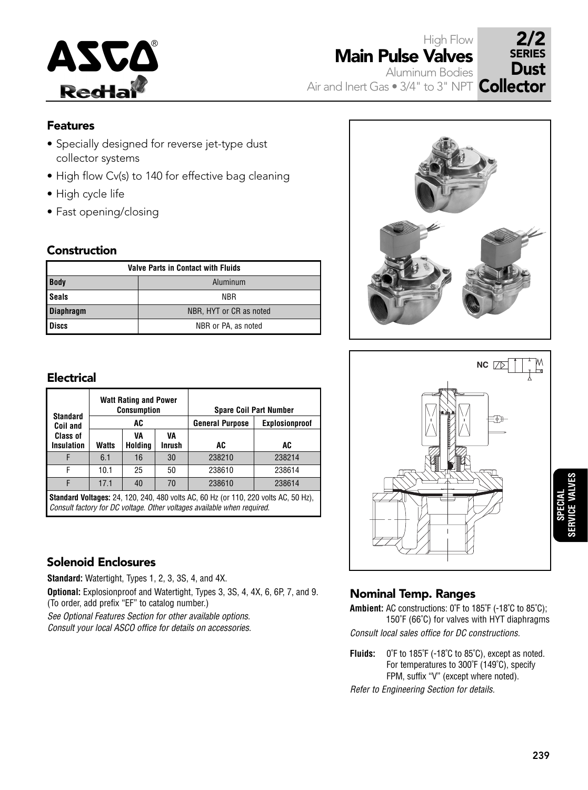

High Flow Main Pulse Valves Aluminum Bodies

SERIES **Dust** 

# Air and Inert Gas  $\bullet$  3/4" to 3" NPT  $\,$  Collector

### Features

- Specially designed for reverse jet-type dust collector systems
- High flow Cv(s) to 140 for effective bag cleaning
- High cycle life
- Fast opening/closing

#### Construction

| <b>Valve Parts in Contact with Fluids</b> |                         |  |  |  |  |  |  |  |
|-------------------------------------------|-------------------------|--|--|--|--|--|--|--|
| <b>Body</b>                               | Aluminum                |  |  |  |  |  |  |  |
| <b>Seals</b>                              | NBR                     |  |  |  |  |  |  |  |
| Diaphragm                                 | NBR, HYT or CR as noted |  |  |  |  |  |  |  |
| <b>Discs</b>                              | NBR or PA, as noted     |  |  |  |  |  |  |  |

#### Electrical

| <b>Standard</b><br>Coil and          |              | <b>Watt Rating and Power</b><br>Consumption<br>AC |                     | <b>General Purpose</b>                                                                     | <b>Spare Coil Part Number</b><br>Explosionproof |
|--------------------------------------|--------------|---------------------------------------------------|---------------------|--------------------------------------------------------------------------------------------|-------------------------------------------------|
| <b>Class of</b><br><b>Insulation</b> | <b>Watts</b> | VA<br>Holding                                     | VA<br><b>Inrush</b> | AC                                                                                         | AC                                              |
|                                      | 6.1          | 16                                                | 30                  | 238210                                                                                     | 238214                                          |
| F                                    | 10.1         | 25                                                | 50                  | 238610                                                                                     | 238614                                          |
|                                      | 17.1         | 40                                                | 70                  | 238610                                                                                     | 238614                                          |
|                                      |              |                                                   |                     | <b>Standard Voltages:</b> 24, 120, 240, 480 volts AC, 60 Hz (or 110, 220 volts AC, 50 Hz), |                                                 |

Consult factory for DC voltage. Other voltages available when required.

## Solenoid Enclosures

**Standard:** Watertight, Types 1, 2, 3, 3S, 4, and 4X.

**Optional:** Explosionproof and Watertight, Types 3, 3S, 4, 4X, 6, 6P, 7, and 9. (To order, add prefix "EF" to catalog number.)

See Optional Features Section for other available options. Consult your local ASCO office for details on accessories.





# **SPECIAL SERVICE VALVES**

## Nominal Temp. Ranges

**Ambient:** AC constructions: 0˚F to 185˚F (-18˚C to 85˚C); 150˚F (66˚C) for valves with HYT diaphragms Consult local sales office for DC constructions.

**Fluids:** 0˚F to 185˚F (-18˚C to 85˚C), except as noted. For temperatures to 300˚F (149˚C), specify FPM, suffix "V" (except where noted).

Refer to Engineering Section for details.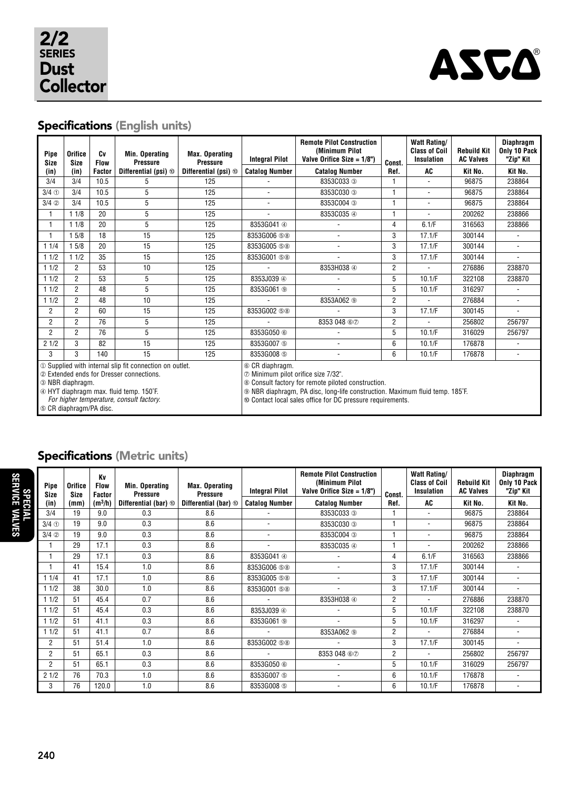

# Specifications (English units)

| Pipe<br><b>Size</b>                      | <b>Orifice</b><br><b>Size</b> | Cv<br><b>Flow</b> | Min. Operating<br><b>Pressure</b>                        | <b>Max. Operating</b><br><b>Pressure</b> | <b>Integral Pilot</b>                                                                 | <b>Remote Pilot Construction</b><br>(Minimum Pilot<br>Valve Orifice Size = $1/8$ ") | Const.         | <b>Watt Rating/</b><br><b>Class of Coil</b><br>Insulation | <b>Rebuild Kit</b><br><b>AC Valves</b> | <b>Diaphragm</b><br>Only 10 Pack<br>"Zip" Kit |  |  |
|------------------------------------------|-------------------------------|-------------------|----------------------------------------------------------|------------------------------------------|---------------------------------------------------------------------------------------|-------------------------------------------------------------------------------------|----------------|-----------------------------------------------------------|----------------------------------------|-----------------------------------------------|--|--|
| (in)                                     | (in)                          | Factor            | Differential (psi) ®                                     | Differential (psi) <sup>®</sup>          | <b>Catalog Number</b>                                                                 | <b>Catalog Number</b><br>Ref.                                                       |                | AC                                                        | Kit No.                                | Kit No.                                       |  |  |
| 3/4                                      | 3/4                           | 10.5              | 5                                                        | 125                                      |                                                                                       | 8353C033 3                                                                          | 1              |                                                           | 96875                                  | 238864                                        |  |  |
| $3/4$ ①                                  | 3/4                           | 10.5              | 5                                                        | 125                                      | $\overline{\phantom{a}}$                                                              | 8353C030 3                                                                          | 1              | $\blacksquare$                                            | 96875                                  | 238864                                        |  |  |
| $3/4$ 2                                  | 3/4                           | 10.5              | 5                                                        | 125                                      | ٠                                                                                     | 8353C004 3                                                                          | 1              | $\blacksquare$                                            | 96875                                  | 238864                                        |  |  |
| 1                                        | 11/8                          | 20                | 5                                                        | 125                                      | L.                                                                                    | 8353C035 4                                                                          | 1              | $\overline{\phantom{0}}$                                  | 200262                                 | 238866                                        |  |  |
| 1                                        | 11/8                          | 20                | 5                                                        | 125                                      | 8353G041 4                                                                            |                                                                                     | 4              | 6.1/F                                                     | 316563                                 | 238866                                        |  |  |
| 1                                        | 15/8                          | 18                | 15                                                       | 125                                      | 8353G006 58                                                                           |                                                                                     | 3              | 17.1/F                                                    | 300144                                 |                                               |  |  |
| 11/4                                     | 15/8                          | 20                | 15                                                       | 125                                      | 8353G005 58                                                                           |                                                                                     | 3              | 17.1/F                                                    | 300144                                 | ä,                                            |  |  |
| 11/2                                     | 11/2                          | 35                | 15                                                       | 125                                      | 8353G001 58                                                                           |                                                                                     | 3              | 17.1/F                                                    | 300144                                 |                                               |  |  |
| 11/2                                     | $\overline{2}$                | 53                | 10                                                       | 125                                      |                                                                                       | 8353H038 4                                                                          | 2              |                                                           | 276886                                 | 238870                                        |  |  |
| 11/2                                     | $\overline{2}$                | 53                | 5                                                        | 125                                      | 8353J039 4                                                                            |                                                                                     | 5              | 10.1/F                                                    | 322108                                 | 238870                                        |  |  |
| 11/2                                     | $\overline{2}$                | 48                | 5                                                        | 125                                      | 8353G061 <sup>®</sup>                                                                 |                                                                                     | 5              | 10.1/F                                                    | 316297                                 |                                               |  |  |
| 11/2                                     | $\overline{2}$                | 48                | 10                                                       | 125                                      |                                                                                       | 8353A062 <sup>®</sup>                                                               | 2              | ٠                                                         | 276884                                 | $\overline{\phantom{a}}$                      |  |  |
| $\overline{2}$                           | $\overline{2}$                | 60                | 15                                                       | 125                                      | 8353G002 58                                                                           |                                                                                     | 3              | 17.1/F                                                    | 300145                                 | ÷                                             |  |  |
| $\overline{2}$                           | $\overline{2}$                | 76                | 5                                                        | 125                                      |                                                                                       | 8353 048 67                                                                         | $\overline{2}$ |                                                           | 256802                                 | 256797                                        |  |  |
| $\overline{2}$                           | $\overline{2}$                | 76                | 5                                                        | 125                                      | 8353G050 6                                                                            |                                                                                     | 5              | 10.1/F                                                    | 316029                                 | 256797                                        |  |  |
| 21/2                                     | 3                             | 82                | 15                                                       | 125                                      | 8353G007 (5)                                                                          |                                                                                     | 6              | 10.1/F                                                    | 176878                                 |                                               |  |  |
| 3                                        | 3                             | 140               | 15                                                       | 125                                      | 8353G008 5                                                                            |                                                                                     | 6              | 10.1/F                                                    | 176878                                 | $\overline{\phantom{a}}$                      |  |  |
|                                          |                               |                   | 10 Supplied with internal slip fit connection on outlet. |                                          | 6 CR diaphragm.                                                                       |                                                                                     |                |                                                           |                                        |                                               |  |  |
| 2 Extended ends for Dresser connections. |                               |                   | t Minimum pilot orifice size 7/32".                      |                                          |                                                                                       |                                                                                     |                |                                                           |                                        |                                               |  |  |
|                                          | 3 NBR diaphragm.              |                   |                                                          |                                          | ® Consult factory for remote piloted construction.                                    |                                                                                     |                |                                                           |                                        |                                               |  |  |
|                                          |                               |                   | 4 HYT diaphragm max. fluid temp. 150°F.                  |                                          | <b>The NBR diaphragm, PA disc, long-life construction. Maximum fluid temp. 185°F.</b> |                                                                                     |                |                                                           |                                        |                                               |  |  |
|                                          |                               |                   | For higher temperature, consult factory.                 |                                          | © Contact local sales office for DC pressure requirements.                            |                                                                                     |                |                                                           |                                        |                                               |  |  |
| <b>6 CR diaphragm/PA disc.</b>           |                               |                   |                                                          |                                          |                                                                                       |                                                                                     |                |                                                           |                                        |                                               |  |  |

# Specifications (Metric units)

| <b>SPECIAL<br/>SERVICE VALVES</b> | Pipe<br>Size   | Orifice<br><b>Size</b> | Kv<br><b>Flow</b><br><b>Factor</b> | Min. Operating<br><b>Pressure</b> | <b>Max. Operating</b><br><b>Pressure</b> | <b>Integral Pilot</b> | <b>Remote Pilot Construction</b><br>(Minimum Pilot<br>Valve Orifice Size $= 1/8$ ") | Const.         | Watt Rating/<br><b>Class of Coil</b><br><b>Insulation</b> | <b>Rebuild Kit</b><br><b>AC Valves</b> | Diaphragm<br>Only 10 Pack<br>"Zip" Kit |
|-----------------------------------|----------------|------------------------|------------------------------------|-----------------------------------|------------------------------------------|-----------------------|-------------------------------------------------------------------------------------|----------------|-----------------------------------------------------------|----------------------------------------|----------------------------------------|
|                                   | (in)           | (mm)                   | $(m^3/h)$                          | Differential (bar) ®              | Differential (bar) <sup>®</sup>          | <b>Catalog Number</b> | <b>Catalog Number</b>                                                               | Ref.           | <b>AC</b>                                                 | Kit No.                                | Kit No.                                |
|                                   | 3/4            | 19                     | 9.0                                | 0.3                               | 8.6                                      |                       | 8353C033 3                                                                          |                |                                                           | 96875                                  | 238864                                 |
|                                   | $3/4$ ①        | 19                     | 9.0                                | 0.3                               | 8.6                                      |                       | 8353C030 3                                                                          |                |                                                           | 96875                                  | 238864                                 |
|                                   | $3/4$ 2        | 19                     | 9.0                                | 0.3                               | 8.6                                      |                       | 8353C004 3                                                                          |                |                                                           | 96875                                  | 238864                                 |
|                                   |                | 29                     | 17.1                               | 0.3                               | 8.6                                      | $\blacksquare$        | 8353C035 4                                                                          |                |                                                           | 200262                                 | 238866                                 |
|                                   |                | 29                     | 17.1                               | 0.3                               | 8.6                                      | 8353G041 4            |                                                                                     | 4              | 6.1/F                                                     | 316563                                 | 238866                                 |
|                                   |                | 41                     | 15.4                               | 1.0                               | 8.6                                      | 8353G006 58           | ۰                                                                                   | 3              | 17.1/F                                                    | 300144                                 |                                        |
|                                   | 11/4           | 41                     | 17.1                               | 1.0                               | 8.6                                      | 8353G005 58           | ۰                                                                                   | 3              | 17.1/F                                                    | 300144                                 |                                        |
|                                   | 11/2           | 38                     | 30.0                               | 1.0                               | 8.6                                      | 8353G001 58           | ۰                                                                                   | 3              | 17.1/F                                                    | 300144                                 |                                        |
|                                   | 11/2           | 51                     | 45.4                               | 0.7                               | 8.6                                      |                       | 8353H038 4                                                                          | $\overline{2}$ |                                                           | 276886                                 | 238870                                 |
|                                   | 11/2           | 51                     | 45.4                               | 0.3                               | 8.6                                      | 8353J039 4            |                                                                                     | 5              | 10.1/F                                                    | 322108                                 | 238870                                 |
|                                   | 11/2           | 51                     | 41.1                               | 0.3                               | 8.6                                      | 8353G061 <sup>®</sup> |                                                                                     | 5              | 10.1/F                                                    | 316297                                 |                                        |
|                                   | 11/2           | 51                     | 41.1                               | 0.7                               | 8.6                                      |                       | 8353A062 <sup>o</sup>                                                               | 2              |                                                           | 276884                                 |                                        |
|                                   | $\overline{2}$ | 51                     | 51.4                               | 1.0                               | 8.6                                      | 8353G002 58           |                                                                                     | 3              | 17.1/F                                                    | 300145                                 |                                        |
|                                   | $\overline{2}$ | 51                     | 65.1                               | 0.3                               | 8.6                                      |                       | 8353 048 67                                                                         | $\overline{2}$ |                                                           | 256802                                 | 256797                                 |
|                                   | $\overline{2}$ | 51                     | 65.1                               | 0.3                               | 8.6                                      | 8353G050 6            |                                                                                     | 5              | 10.1/F                                                    | 316029                                 | 256797                                 |
|                                   | 21/2           | 76                     | 70.3                               | 1.0                               | 8.6                                      | 8353G007 5            | $\overline{\phantom{a}}$                                                            | 6              | 10.1/F                                                    | 176878                                 |                                        |
|                                   | 3              | 76                     | 120.0                              | 1.0                               | 8.6                                      | 8353G008 5            | ٠                                                                                   | 6              | 10.1/F                                                    | 176878                                 |                                        |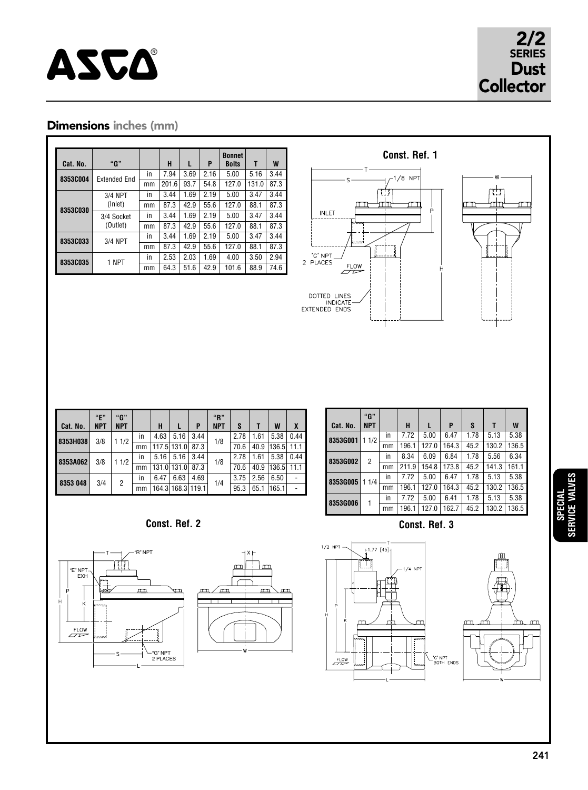# ASCA<sup>®</sup>

# 2/2 SERIES

## Dimensions inches (mm)

| Cat. No. | "G"                    |    | н     | L    | P    | <b>Bonnet</b><br><b>Bolts</b> | Τ     | W    |
|----------|------------------------|----|-------|------|------|-------------------------------|-------|------|
| 8353C004 | <b>Extended End</b>    | in | 7.94  | 3.69 | 2.16 | 5.00                          | 5.16  | 3.44 |
|          |                        | mm | 201.6 | 93.7 | 54.8 | 127.0                         | 131.0 | 87.3 |
|          | 3/4 NPT                | in | 3.44  | 1.69 | 2.19 | 5.00                          | 3.47  | 3.44 |
| 8353C030 | (Inlet)                | mm | 87.3  | 42.9 | 55.6 | 127.0                         | 88.1  | 87.3 |
|          | 3/4 Socket<br>(Outlet) | in | 3.44  | 1.69 | 2.19 | 5.00                          | 3.47  | 3.44 |
|          |                        | mm | 87.3  | 42.9 | 55.6 | 127.0                         | 88.1  | 87.3 |
| 8353C033 | 3/4 NPT                | in | 3.44  | 1.69 | 2.19 | 5.00                          | 3.47  | 3.44 |
|          |                        | mm | 87.3  | 42.9 | 55.6 | 127.0                         | 88.1  | 87.3 |
| 8353C035 | 1 NPT                  | in | 2.53  | 2.03 | 1.69 | 4.00                          | 3.50  | 2.94 |
|          |                        | mm | 64.3  | 51.6 | 42.9 | 101.6                         | 88.9  | 74.6 |



| Cat. No. | "E"<br><b>NPT</b> | "G"<br><b>NPT</b> |    | H     |                   | P    | "R"<br><b>NPT</b> | S    |      | W     | X    |
|----------|-------------------|-------------------|----|-------|-------------------|------|-------------------|------|------|-------|------|
| 8353H038 | 3/8               | 11/2              | in | 4.63  | 5.16              | 3.44 | 1/8               | 2.78 | 1.61 | 5.38  | 0.44 |
|          |                   |                   | mm | 117.5 | 131.0             | 87.3 |                   | 70.6 | 40.9 | 136.5 | 11.1 |
| 8353A062 | 3/8               | 11/2              | in | 5.16  | 5.16              | 3.44 | 1/8               | 2.78 | 1.61 | 5.38  | 0.44 |
|          |                   |                   | mm | 131.0 | 131.0             | 87.3 |                   | 70.6 | 40.9 | 136.5 | 11.1 |
| 8353 048 | 3/4               | 2                 | in | 6.47  | 6.63              | 4.69 | 1/4               | 3.75 | 2.56 | 6.50  |      |
|          |                   |                   | mm |       | 164.3 168.3 119.1 |      |                   | 95.3 | 65.1 | 165.1 |      |

| Cat. No.        | "G"<br><b>NPT</b> |    | н     | L     | P     | S    | Т     | W     |
|-----------------|-------------------|----|-------|-------|-------|------|-------|-------|
| 8353G001        | 1/2<br>1          | in | 7.72  | 5.00  | 6.47  | 1.78 | 5.13  | 5.38  |
|                 |                   | mm | 196.1 | 127.0 | 164.3 | 45.2 | 130.2 | 136.5 |
| 8353G002        | 2                 | in | 8.34  | 6.09  | 6.84  | 1.78 | 5.56  | 6.34  |
|                 |                   | mm | 211.9 | 154.8 | 173.8 | 45.2 | 141.3 | 161.1 |
| <b>8353G005</b> | 1/4               | in | 7.72  | 5.00  | 6.47  | 1.78 | 5.13  | 5.38  |
|                 |                   | mm | 196.1 | 127.0 | 164.3 | 45.2 | 130.2 | 136.5 |
| <b>8353G006</b> | 1                 | in | 7.72  | 5.00  | 6.41  | 1.78 | 5.13  | 5.38  |
|                 |                   | mm | 196.1 | 127.0 | 162.7 | 45.2 | 130.2 | 136.5 |

**Const. Ref. 2**





**Const. Ref. 3**